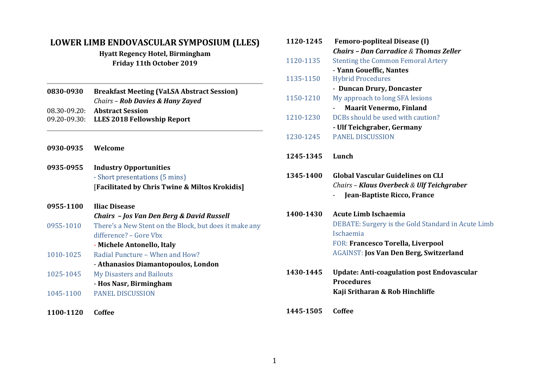## **LOWER LIMB ENDOVASCULAR SYMPOSIUM (LLES)**

**Hyatt Regency Hotel, Birmingham Friday 11th October 2019**

| 0830-0930 | <b>Breakfast Meeting (VaLSA Abstract Session)</b> |
|-----------|---------------------------------------------------|
|           | Chairs – Rob Davies & Hany Zayed                  |
|           | 08.30-09.20: Abstract Session                     |

- 09.20-09.30: **LLES 2018 Fellowship Report**
- **0930-0935 Welcome**
- **0935-0955 Industry Opportunities** - Short presentations (5 mins) [**Facilitated by Chris Twine & Miltos Krokidis]**

| 0955-1100 | <b>Iliac Disease</b>                                   |
|-----------|--------------------------------------------------------|
|           | Chairs - Jos Van Den Berg & David Russell              |
| 0955-1010 | There's a New Stent on the Block, but does it make any |
|           | difference? – Gore Vbx                                 |
|           | - Michele Antonello, Italy                             |
| 1010-1025 | Radial Puncture - When and How?                        |
|           | - Athanasios Diamantopoulos, London                    |
| 1025-1045 | <b>My Disasters and Bailouts</b>                       |
|           | - Hos Nasr, Birmingham                                 |
| 1045-1100 | <b>PANEL DISCUSSION</b>                                |

**1100-1120 Coffee**

| 1120-1245 | <b>Femoro-popliteal Disease (I)</b>                                                                                  |
|-----------|----------------------------------------------------------------------------------------------------------------------|
|           | <b>Chairs - Dan Carradice &amp; Thomas Zeller</b>                                                                    |
| 1120-1135 | <b>Stenting the Common Femoral Artery</b>                                                                            |
|           | - Yann Goueffic, Nantes                                                                                              |
| 1135-1150 | <b>Hybrid Procedures</b>                                                                                             |
|           | - Duncan Drury, Doncaster                                                                                            |
| 1150-1210 | My approach to long SFA lesions                                                                                      |
|           | <b>Maarit Venermo, Finland</b>                                                                                       |
| 1210-1230 | DCBs should be used with caution?                                                                                    |
|           | - Ulf Teichgraber, Germany                                                                                           |
| 1230-1245 | <b>PANEL DISCUSSION</b>                                                                                              |
| 1245-1345 | Lunch                                                                                                                |
|           |                                                                                                                      |
| 1345-1400 | <b>Global Vascular Guidelines on CLI</b><br>Chairs - Klaus Overbeck & Ulf Teichgraber<br>Jean-Baptiste Ricco, France |
| 1400-1430 | <b>Acute Limb Ischaemia</b><br>DEBATE: Surgery is the Gold Standard in Acute Limb<br>Ischaemia                       |
|           | FOR: Francesco Torella, Liverpool<br><b>AGAINST: Jos Van Den Berg, Switzerland</b>                                   |

**1445-1505 Coffee**